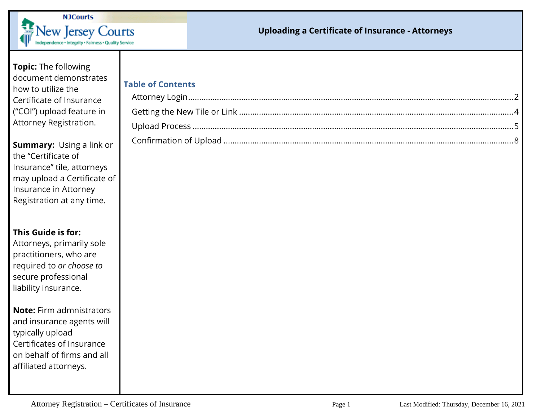

### **Topic:** The following document demonstrates how to utilize the Certificate of Insurance ("COI") upload feature in Attorney Registration.

**Summary:** Using a link or the "Certificate of Insurance" tile, attorneys may upload a Certificate of Insurance in Attorney Registration at any time.

**This Guide is for:**

Attorneys, primarily sole practitioners, who are required to *or choose to* secure professional liability insurance.

**Note:** Firm admnistrators and insurance agents will typically upload Certificates of Insurance on behalf of firms and all affiliated attorneys.

| <b>Table of Contents</b> |  |  |  |  |
|--------------------------|--|--|--|--|
|--------------------------|--|--|--|--|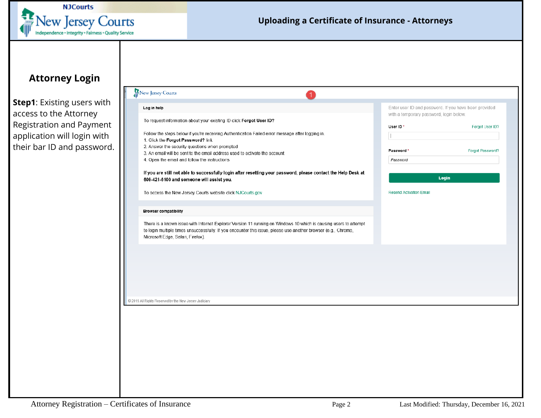

## <span id="page-1-0"></span>**Attorney Login**

**Step1**: Existing users with access to the Attorney Registration and Payment application will login with their bar ID and password.

| Log in help                                                                                                                                                                                                                                                             | with a temporary password, login below. | Enter user ID and password. If you have been provided |
|-------------------------------------------------------------------------------------------------------------------------------------------------------------------------------------------------------------------------------------------------------------------------|-----------------------------------------|-------------------------------------------------------|
| To request information about your existing ID click Forgot User ID?                                                                                                                                                                                                     | User ID*                                | Forgot User ID?                                       |
| Follow the steps below if you're receiving Authentication Failed error message after logging in.<br>1. Click the Forgot Password? link                                                                                                                                  |                                         |                                                       |
| 2. Answer the security questions when prompted<br>3. An email will be sent to the email address used to activate the account                                                                                                                                            | Password*                               | Forgot Password?                                      |
| 4. Open the email and follow the instructions                                                                                                                                                                                                                           | Password                                |                                                       |
| If you are still not able to successfully login after resetting your password, please contact the Help Desk at                                                                                                                                                          |                                         | Login                                                 |
| 609-421-6100 and someone will assist you.                                                                                                                                                                                                                               |                                         |                                                       |
| To access the New Jersey Courts website click NJCourts.gov                                                                                                                                                                                                              | Resend Activation Email                 |                                                       |
| <b>Browser compatibility</b>                                                                                                                                                                                                                                            |                                         |                                                       |
| There is a known issue with Internet Explorer Version 11 running on Windows 10 which is causing users to attempt<br>to login multiple times unsuccessfully. If you encounter this issue, please use another browser (e.g., Chrome,<br>Microsoft Edge, Safari, Firefox). |                                         |                                                       |
|                                                                                                                                                                                                                                                                         |                                         |                                                       |
|                                                                                                                                                                                                                                                                         |                                         |                                                       |
|                                                                                                                                                                                                                                                                         |                                         |                                                       |
|                                                                                                                                                                                                                                                                         |                                         |                                                       |
| C 2019 All Rights Reserved by the New Jersey Judiciary                                                                                                                                                                                                                  |                                         |                                                       |
|                                                                                                                                                                                                                                                                         |                                         |                                                       |
|                                                                                                                                                                                                                                                                         |                                         |                                                       |
|                                                                                                                                                                                                                                                                         |                                         |                                                       |
|                                                                                                                                                                                                                                                                         |                                         |                                                       |
|                                                                                                                                                                                                                                                                         |                                         |                                                       |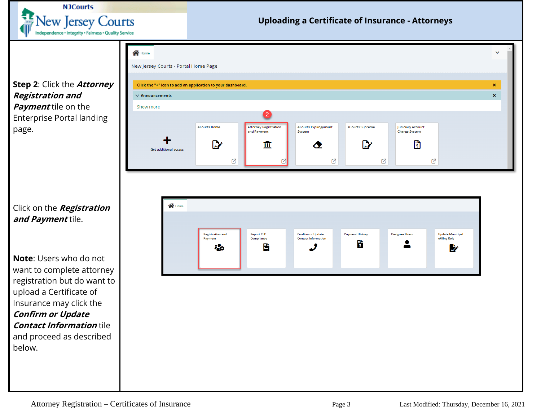

**Step 2**: Click the **Attorney Registration and Payment** tile on the Enterprise Portal landing page.



**Note**: Users who do not want to complete attorney registration but do want to upload a Certificate of Insurance may click the **Confirm or Update Contact Information** tile and proceed as described below.

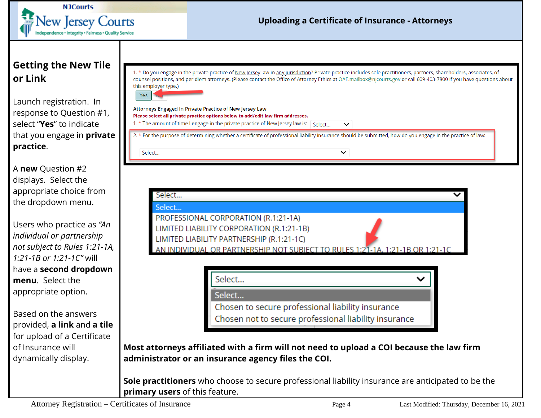

# <span id="page-3-0"></span>**Getting the New Tile or Link**

Launch registration. In response to Question #1, select "**Yes**" to indicate that you engage in **private practice**.

A **new** Question #2 displays. Select the appropriate choice from the dropdown menu.

Users who practice as *"An individual or partnership not subject to Rules 1:21-1A, 1:21-1B or 1:21-1C"* will have a **second dropdown menu**. Select the appropriate option.

Based on the answers provided, **a link** and **a tile** for upload of a Certificate of Insurance will dynamically display.

| 1. * Do you engage in the private practice of New Jersey law in any jurisdiction? Private practice includes sole practitioners, partners, shareholders, associates, of |
|------------------------------------------------------------------------------------------------------------------------------------------------------------------------|
| counsel positions, and per diem attorneys. (Please contact the Office of Attorney Ethics at OAE.mailbox@njcourts.gov or call 609-403-7800 if you have questions about  |
| this employer type.)                                                                                                                                                   |
|                                                                                                                                                                        |

 $\check{ }$ 

|--|--|

Select...

Attorneys Engaged In Private Practice of New Jersey Law Please select all private practice options below to add/edit law firm addresses. 1. \* The amount of time I engage in the private practice of New Jersey law is: Select...

2. \* For the purpose of determining whether a certificate of professional liability insurance should be submitted, how do you engage in the practice of law:

| select                                                                        |  |
|-------------------------------------------------------------------------------|--|
| Select                                                                        |  |
| PROFESSIONAL CORPORATION (R.1:21-1A)                                          |  |
| LIMITED LIABILITY CORPORATION (R.1:21-1B)                                     |  |
| LIMITED LIABILITY PARTNERSHIP (R.1:21-1C)                                     |  |
| AN INDIVIDUAL OR PARTNERSHIP NOT SUBIECT TO RULES 1:21-1A, 1:21-1B OR 1:21-1C |  |

| Select                                                                                                     |  |
|------------------------------------------------------------------------------------------------------------|--|
| Select                                                                                                     |  |
| Chosen to secure professional liability insurance<br>Chosen not to secure professional liability insurance |  |

**Most attorneys affiliated with a firm will not need to upload a COI because the law firm administrator or an insurance agency files the COI.** 

**Sole practitioners** who choose to secure professional liability insurance are anticipated to be the **primary users** of this feature.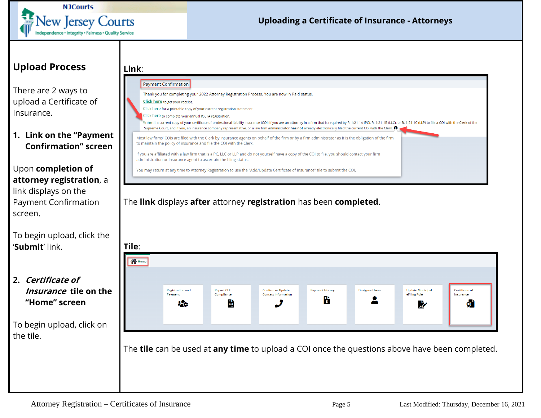![](_page_4_Picture_0.jpeg)

## <span id="page-4-0"></span>**Upload Process**

There are 2 ways to upload a Certificate of Insurance.

#### **1. Link on the "Payment Confirmation" screen**

#### Upon **completion of attorney registration**, a link displays on the

Payment Confirmation screen.

To begin upload, click the '**Submit**' link.

## **2. Certificate of Insurance tile on the "Home" screen**

To begin upload, click on the tile.

![](_page_4_Picture_10.jpeg)

The **link** displays **after** attorney **registration** has been **completed**.

![](_page_4_Picture_12.jpeg)

The **tile** can be used at **any time** to upload a COI once the questions above have been completed.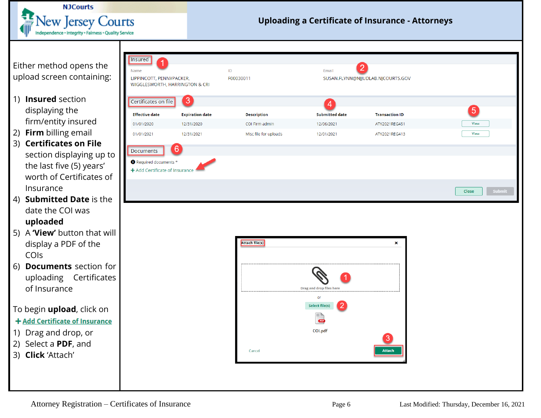![](_page_5_Picture_0.jpeg)

# Email SUSAN.FLYNN@NJJUDLAB.NJCOURTS.GOV  $\boxed{5}$ **Submitted date Transaction ID** 12/06/2021 View ATY2021REG451 12/01/2021 ATY2021REG413 **View** Close × Drag and drop files her or **Select file(s)**  $CDF$ COI.pdf 3. Attach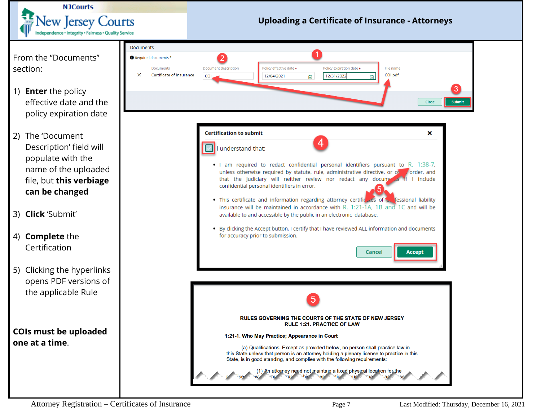![](_page_6_Picture_0.jpeg)